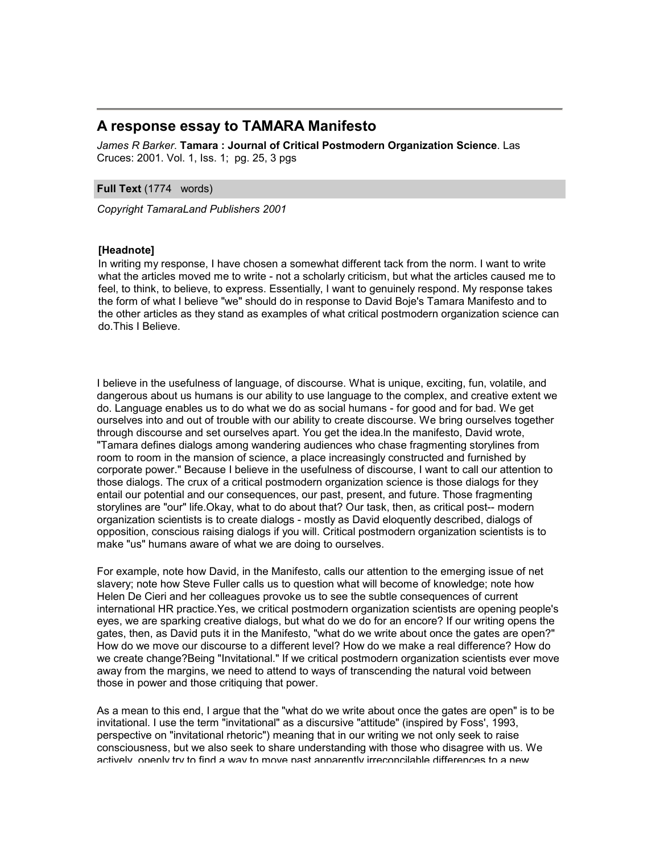## **A response essay to TAMARA Manifesto**

*James R Barker*. **Tamara : Journal of Critical Postmodern Organization Science**. Las Cruces: 2001. Vol. 1, Iss. 1; pg. 25, 3 pgs

## **Full Text** (1774 words)

*Copyright TamaraLand Publishers 2001*

## **[Headnote]**

In writing my response, I have chosen a somewhat different tack from the norm. I want to write what the articles moved me to write - not a scholarly criticism, but what the articles caused me to feel, to think, to believe, to express. Essentially, I want to genuinely respond. My response takes the form of what I believe "we" should do in response to David Boje's Tamara Manifesto and to the other articles as they stand as examples of what critical postmodern organization science can do.This I Believe.

I believe in the usefulness of language, of discourse. What is unique, exciting, fun, volatile, and dangerous about us humans is our ability to use language to the complex, and creative extent we do. Language enables us to do what we do as social humans - for good and for bad. We get ourselves into and out of trouble with our ability to create discourse. We bring ourselves together through discourse and set ourselves apart. You get the idea.ln the manifesto, David wrote, "Tamara defines dialogs among wandering audiences who chase fragmenting storylines from room to room in the mansion of science, a place increasingly constructed and furnished by corporate power." Because I believe in the usefulness of discourse, I want to call our attention to those dialogs. The crux of a critical postmodern organization science is those dialogs for they entail our potential and our consequences, our past, present, and future. Those fragmenting storylines are "our" life.Okay, what to do about that? Our task, then, as critical post-- modern organization scientists is to create dialogs - mostly as David eloquently described, dialogs of opposition, conscious raising dialogs if you will. Critical postmodern organization scientists is to make "us" humans aware of what we are doing to ourselves.

For example, note how David, in the Manifesto, calls our attention to the emerging issue of net slavery; note how Steve Fuller calls us to question what will become of knowledge; note how Helen De Cieri and her colleagues provoke us to see the subtle consequences of current international HR practice.Yes, we critical postmodern organization scientists are opening people's eyes, we are sparking creative dialogs, but what do we do for an encore? If our writing opens the gates, then, as David puts it in the Manifesto, "what do we write about once the gates are open?" How do we move our discourse to a different level? How do we make a real difference? How do we create change?Being "Invitational." If we critical postmodern organization scientists ever move away from the margins, we need to attend to ways of transcending the natural void between those in power and those critiquing that power.

As a mean to this end, I argue that the "what do we write about once the gates are open" is to be invitational. I use the term "invitational" as a discursive "attitude" (inspired by Foss', 1993, perspective on "invitational rhetoric") meaning that in our writing we not only seek to raise consciousness, but we also seek to share understanding with those who disagree with us. We actively, openly try to find a way to move past apparently irreconcilable differences to a new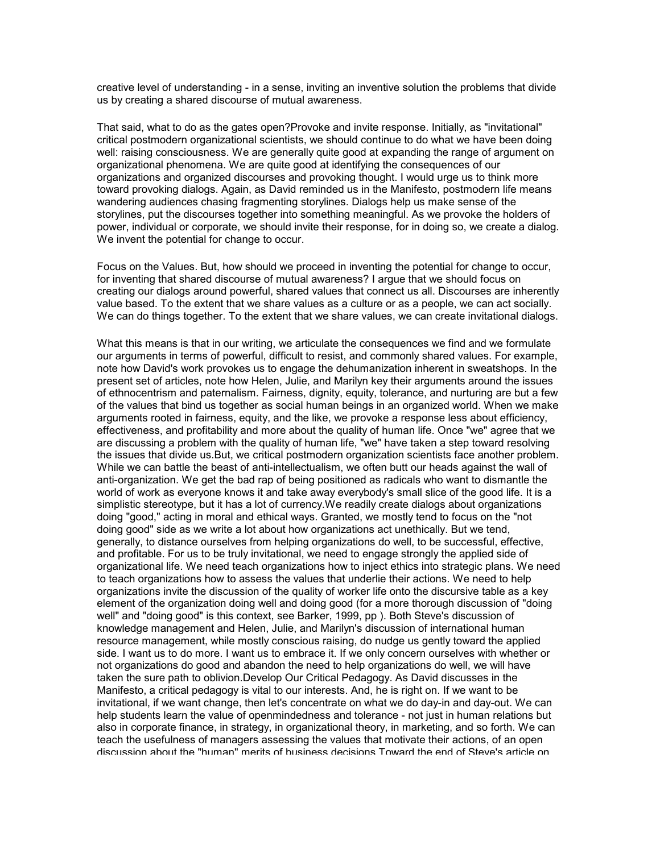creative level of understanding - in a sense, inviting an inventive solution the problems that divide us by creating a shared discourse of mutual awareness.

That said, what to do as the gates open?Provoke and invite response. Initially, as "invitational" critical postmodern organizational scientists, we should continue to do what we have been doing well: raising consciousness. We are generally quite good at expanding the range of argument on organizational phenomena. We are quite good at identifying the consequences of our organizations and organized discourses and provoking thought. I would urge us to think more toward provoking dialogs. Again, as David reminded us in the Manifesto, postmodern life means wandering audiences chasing fragmenting storylines. Dialogs help us make sense of the storylines, put the discourses together into something meaningful. As we provoke the holders of power, individual or corporate, we should invite their response, for in doing so, we create a dialog. We invent the potential for change to occur.

Focus on the Values. But, how should we proceed in inventing the potential for change to occur, for inventing that shared discourse of mutual awareness? I argue that we should focus on creating our dialogs around powerful, shared values that connect us all. Discourses are inherently value based. To the extent that we share values as a culture or as a people, we can act socially. We can do things together. To the extent that we share values, we can create invitational dialogs.

What this means is that in our writing, we articulate the consequences we find and we formulate our arguments in terms of powerful, difficult to resist, and commonly shared values. For example, note how David's work provokes us to engage the dehumanization inherent in sweatshops. In the present set of articles, note how Helen, Julie, and Marilyn key their arguments around the issues of ethnocentrism and paternalism. Fairness, dignity, equity, tolerance, and nurturing are but a few of the values that bind us together as social human beings in an organized world. When we make arguments rooted in fairness, equity, and the like, we provoke a response less about efficiency, effectiveness, and profitability and more about the quality of human life. Once "we" agree that we are discussing a problem with the quality of human life, "we" have taken a step toward resolving the issues that divide us.But, we critical postmodern organization scientists face another problem. While we can battle the beast of anti-intellectualism, we often butt our heads against the wall of anti-organization. We get the bad rap of being positioned as radicals who want to dismantle the world of work as everyone knows it and take away everybody's small slice of the good life. It is a simplistic stereotype, but it has a lot of currency.We readily create dialogs about organizations doing "good," acting in moral and ethical ways. Granted, we mostly tend to focus on the "not doing good" side as we write a lot about how organizations act unethically. But we tend, generally, to distance ourselves from helping organizations do well, to be successful, effective, and profitable. For us to be truly invitational, we need to engage strongly the applied side of organizational life. We need teach organizations how to inject ethics into strategic plans. We need to teach organizations how to assess the values that underlie their actions. We need to help organizations invite the discussion of the quality of worker life onto the discursive table as a key element of the organization doing well and doing good (for a more thorough discussion of "doing well" and "doing good" is this context, see Barker, 1999, pp ). Both Steve's discussion of knowledge management and Helen, Julie, and Marilyn's discussion of international human resource management, while mostly conscious raising, do nudge us gently toward the applied side. I want us to do more. I want us to embrace it. If we only concern ourselves with whether or not organizations do good and abandon the need to help organizations do well, we will have taken the sure path to oblivion.Develop Our Critical Pedagogy. As David discusses in the Manifesto, a critical pedagogy is vital to our interests. And, he is right on. If we want to be invitational, if we want change, then let's concentrate on what we do day-in and day-out. We can help students learn the value of openmindedness and tolerance - not just in human relations but also in corporate finance, in strategy, in organizational theory, in marketing, and so forth. We can teach the usefulness of managers assessing the values that motivate their actions, of an open discussion about the "human" merits of business decisions.Toward the end of Steve's article on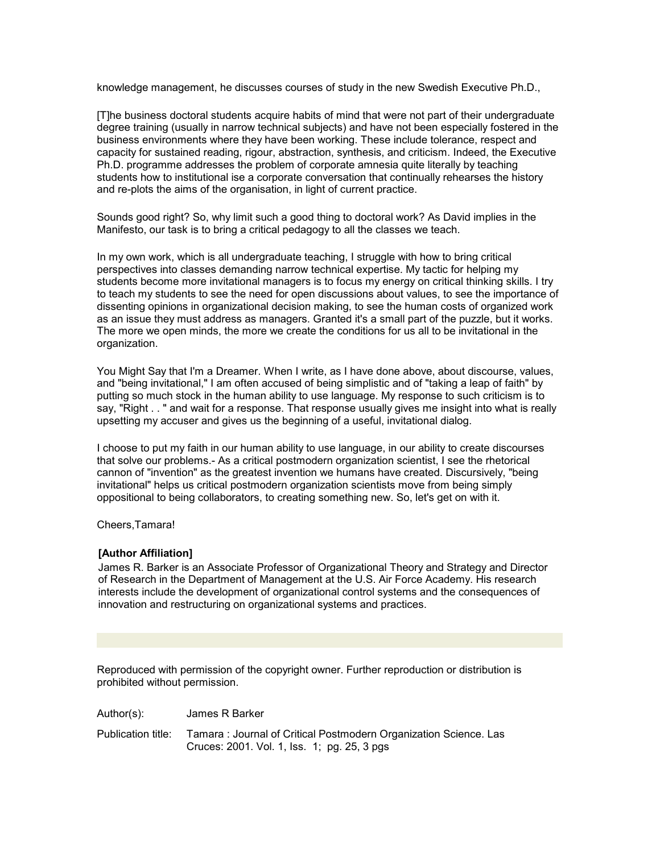knowledge management, he discusses courses of study in the new Swedish Executive Ph.D.,

[T]he business doctoral students acquire habits of mind that were not part of their undergraduate degree training (usually in narrow technical subjects) and have not been especially fostered in the business environments where they have been working. These include tolerance, respect and capacity for sustained reading, rigour, abstraction, synthesis, and criticism. Indeed, the Executive Ph.D. programme addresses the problem of corporate amnesia quite literally by teaching students how to institutional ise a corporate conversation that continually rehearses the history and re-plots the aims of the organisation, in light of current practice.

Sounds good right? So, why limit such a good thing to doctoral work? As David implies in the Manifesto, our task is to bring a critical pedagogy to all the classes we teach.

In my own work, which is all undergraduate teaching, I struggle with how to bring critical perspectives into classes demanding narrow technical expertise. My tactic for helping my students become more invitational managers is to focus my energy on critical thinking skills. I try to teach my students to see the need for open discussions about values, to see the importance of dissenting opinions in organizational decision making, to see the human costs of organized work as an issue they must address as managers. Granted it's a small part of the puzzle, but it works. The more we open minds, the more we create the conditions for us all to be invitational in the organization.

You Might Say that I'm a Dreamer. When I write, as I have done above, about discourse, values, and "being invitational," I am often accused of being simplistic and of "taking a leap of faith" by putting so much stock in the human ability to use language. My response to such criticism is to say, "Right . . " and wait for a response. That response usually gives me insight into what is really upsetting my accuser and gives us the beginning of a useful, invitational dialog.

I choose to put my faith in our human ability to use language, in our ability to create discourses that solve our problems.- As a critical postmodern organization scientist, I see the rhetorical cannon of "invention" as the greatest invention we humans have created. Discursively, "being invitational" helps us critical postmodern organization scientists move from being simply oppositional to being collaborators, to creating something new. So, let's get on with it.

Cheers,Tamara!

## **[Author Affiliation]**

James R. Barker is an Associate Professor of Organizational Theory and Strategy and Director of Research in the Department of Management at the U.S. Air Force Academy. His research interests include the development of organizational control systems and the consequences of innovation and restructuring on organizational systems and practices.

Reproduced with permission of the copyright owner. Further reproduction or distribution is prohibited without permission.

Publication title: Tamara : Journal of Critical Postmodern Organization Science. Las Cruces: 2001. Vol. 1, Iss. 1; pg. 25, 3 pgs